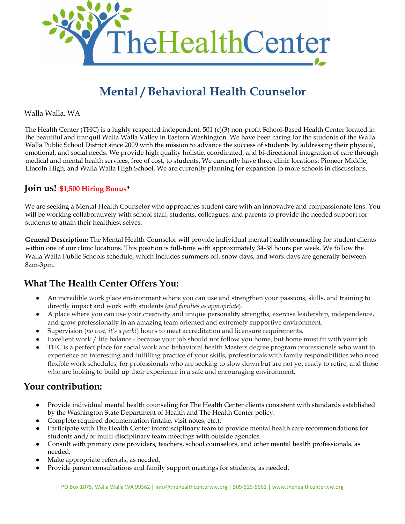

# **Mental / Behavioral Health Counselor**

Walla Walla, WA

The Health Center (THC) is a highly respected independent, 501 (c)(3) non-profit School-Based Health Center located in the beautiful and tranquil Walla Walla Valley in Eastern Washington. We have been caring for the students of the Walla Walla Public School District since 2009 with the mission to advance the success of students by addressing their physical, emotional, and social needs. We provide high quality holistic, coordinated, and bi-directional integration of care through medical and mental health services, free of cost, to students. We currently have three clinic locations: Pioneer Middle, Lincoln High, and Walla Walla High School. We are currently planning for expansion to more schools in discussions.

### **Join us! \$1,500 Hiring Bonus\***

We are seeking a Mental Health Counselor who approaches student care with an innovative and compassionate lens. You will be working collaboratively with school staff, students, colleagues, and parents to provide the needed support for students to attain their healthiest selves.

**General Description:** The Mental Health Counselor will provide individual mental health counseling for student clients within one of our clinic locations. This position is full-time with approximately 34-38 hours per week. We follow the Walla Walla Public Schools schedule, which includes summers off, snow days, and work days are generally between 8am-3pm.

## **What The Health Center Offers You:**

- An incredible work place environment where you can use and strengthen your passions, skills, and training to directly impact and work with students (*and families as appropriate*).
- A place where you can use your creativity and unique personality strengths, exercise leadership, independence, and grow professionally in an amazing team oriented and extremely supportive environment.
- Supervision (*no cost, it's a perk!*) hours to meet accreditation and licensure requirements.
- Excellent work / life balance because your job should not follow you home, but home must fit with your job.
- THC is a perfect place for social work and behavioral health Masters degree program professionals who want to experience an interesting and fulfilling practice of your skills, professionals with family responsibilities who need flexible work schedules, for professionals who are seeking to slow down but are not yet ready to retire, and those who are looking to build up their experience in a safe and encouraging environment.

### **Your contribution:**

- Provide individual mental health counseling for The Health Center clients consistent with standards established by the Washington State Department of Health and The Health Center policy.
- Complete required documentation (intake, visit notes, etc.).
- Participate with The Health Center interdisciplinary team to provide mental health care recommendations for students and/or multi-disciplinary team meetings with outside agencies.
- Consult with primary care providers, teachers, school counselors, and other mental health professionals. as needed.
- Make appropriate referrals, as needed,
- Provide parent consultations and family support meetings for students, as needed.